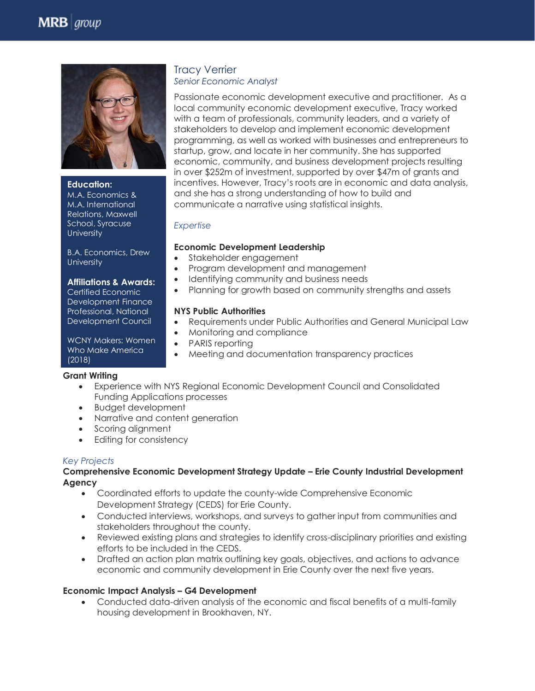

**Education:**

M.A. Economics & M.A. International Relations, Maxwell School, Syracuse **University** 

B.A. Economics, Drew **University** 

#### **Affiliations & Awards:**

Certified Economic Development Finance Professional, National Development Council

WCNY Makers: Women Who Make America (2018)

# Tracy Verrier *Senior Economic Analyst*

Passionate economic development executive and practitioner.As a local community economic development executive, Tracy worked with a team of professionals, community leaders, and a variety of stakeholders to develop and implement economic development programming, as well as worked with businesses and entrepreneurs to startup, grow, and locate in her community. She has supported economic, community, and business development projects resulting in over \$252m of investment, supported by over \$47m of grants and incentives. However, Tracy's roots are in economic and data analysis, and she has a strong understanding of how to build and communicate a narrative using statistical insights.

# *Expertise*

# **Economic Development Leadership**

- Stakeholder engagement
- Program development and management
- Identifying community and business needs
- Planning for growth based on community strengths and assets

# **NYS Public Authorities**

- Requirements under Public Authorities and General Municipal Law
- Monitoring and compliance
- PARIS reporting
- Meeting and documentation transparency practices

#### **Grant Writing**

- Experience with NYS Regional Economic Development Council and Consolidated Funding Applications processes
- Budget development
- Narrative and content generation
- Scoring alignment
- Editing for consistency

# *Key Projects*

### **Comprehensive Economic Development Strategy Update – Erie County Industrial Development Agency**

- Coordinated efforts to update the county-wide Comprehensive Economic Development Strategy (CEDS) for Erie County.
- Conducted interviews, workshops, and surveys to gather input from communities and stakeholders throughout the county.
- Reviewed existing plans and strategies to identify cross-disciplinary priorities and existing efforts to be included in the CEDS.
- Drafted an action plan matrix outlining key goals, objectives, and actions to advance economic and community development in Erie County over the next five years.

# **Economic Impact Analysis – G4 Development**

• Conducted data-driven analysis of the economic and fiscal benefits of a multi-family housing development in Brookhaven, NY.